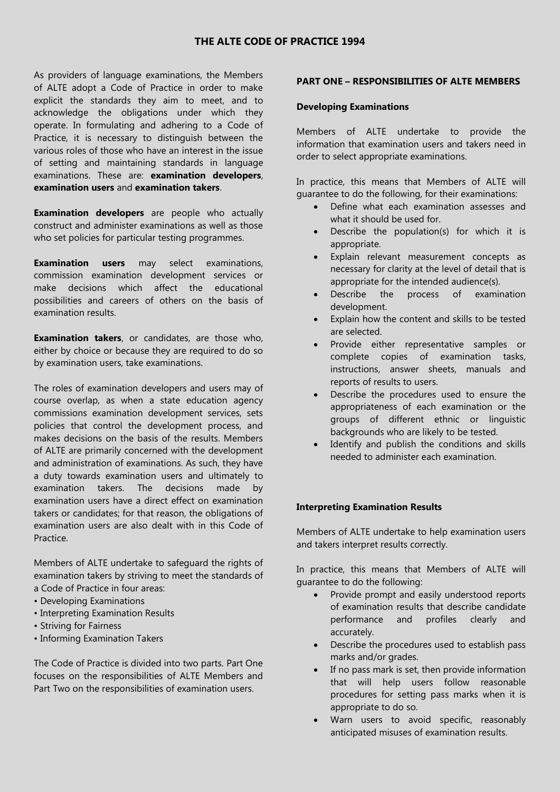# **THE ALTE CODE OF PRACTICE 1994**

As providers of language examinations, the Members of ALTE adopt a Code of Practice in order to make explicit the standards they aim to meet, and to acknowledge the obligations under which they operate. In formulating and adhering to a Code of Practice, it is necessary to distinguish between the various roles of those who have an interest in the issue of setting and maintaining standards in language examinations. These are: **examination developers**, **examination users** and **examination takers**.

**Examination developers** are people who actually construct and administer examinations as well as those who set policies for particular testing programmes.

**Examination users** may select examinations, commission examination development services or make decisions which affect the educational possibilities and careers of others on the basis of examination results.

**Examination takers**, or candidates, are those who, either by choice or because they are required to do so by examination users, take examinations.

The roles of examination developers and users may of course overlap, as when a state education agency commissions examination development services, sets policies that control the development process, and makes decisions on the basis of the results. Members of ALTE are primarily concerned with the development and administration of examinations. As such, they have a duty towards examination users and ultimately to examination takers. The decisions made by examination users have a direct effect on examination takers or candidates; for that reason, the obligations of examination users are also dealt with in this Code of Practice.

Members of ALTE undertake to safeguard the rights of examination takers by striving to meet the standards of a Code of Practice in four areas:

- Developing Examinations
- Interpreting Examination Results
- Striving for Fairness
- Informing Examination Takers

The Code of Practice is divided into two parts. Part One focuses on the responsibilities of ALTE Members and Part Two on the responsibilities of examination users.

# **PART ONE – RESPONSIBILITIES OF ALTE MEMBERS**

#### **Developing Examinations**

Members of ALTE undertake to provide the information that examination users and takers need in order to select appropriate examinations.

In practice, this means that Members of ALTE will guarantee to do the following, for their examinations:

- Define what each examination assesses and what it should be used for.
- Describe the population(s) for which it is appropriate.
- Explain relevant measurement concepts as necessary for clarity at the level of detail that is appropriate for the intended audience(s).
- Describe the process of examination development.
- Explain how the content and skills to be tested are selected.
- Provide either representative samples or complete copies of examination tasks, instructions, answer sheets, manuals and reports of results to users.
- Describe the procedures used to ensure the appropriateness of each examination or the groups of different ethnic or linguistic backgrounds who are likely to be tested.
- Identify and publish the conditions and skills needed to administer each examination.

# **Interpreting Examination Results**

Members of ALTE undertake to help examination users and takers interpret results correctly.

In practice, this means that Members of ALTE will guarantee to do the following:

- Provide prompt and easily understood reports of examination results that describe candidate performance and profiles clearly and accurately.
- Describe the procedures used to establish pass marks and/or grades.
- If no pass mark is set, then provide information that will help users follow reasonable procedures for setting pass marks when it is appropriate to do so.
- Warn users to avoid specific, reasonably anticipated misuses of examination results.